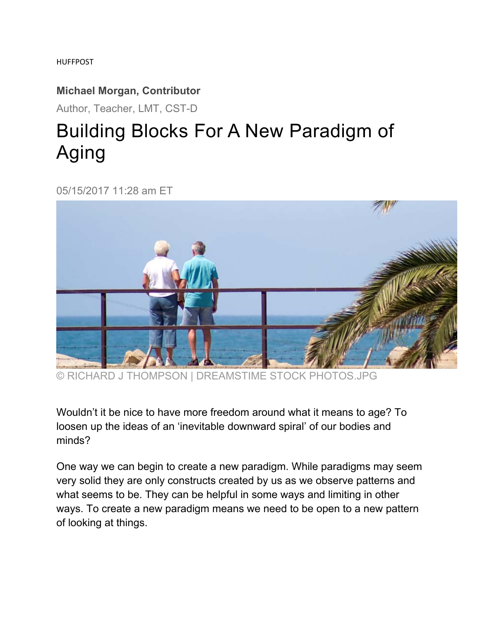## HUFFPOST

## **Michael Morgan, Contributor**

Author, Teacher, LMT, CST-D

## Building Blocks For A New Paradigm of Aging

05/15/2017 11:28 am ET



© RICHARD J THOMPSON | DREAMSTIME STOCK PHOTOS.JPG

Wouldn't it be nice to have more freedom around what it means to age? To loosen up the ideas of an 'inevitable downward spiral' of our bodies and minds?

One way we can begin to create a new paradigm. While paradigms may seem very solid they are only constructs created by us as we observe patterns and what seems to be. They can be helpful in some ways and limiting in other ways. To create a new paradigm means we need to be open to a new pattern of looking at things.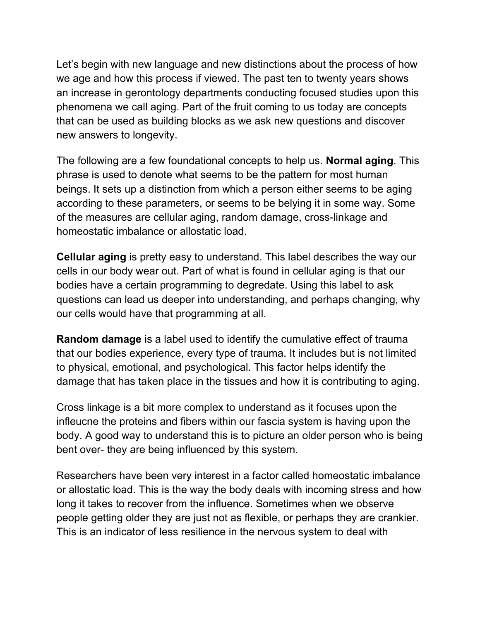Let's begin with new language and new distinctions about the process of how we age and how this process if viewed. The past ten to twenty years shows an increase in gerontology departments conducting focused studies upon this phenomena we call aging. Part of the fruit coming to us today are concepts that can be used as building blocks as we ask new questions and discover new answers to longevity.

The following are a few foundational concepts to help us. **Normal aging**. This phrase is used to denote what seems to be the pattern for most human beings. It sets up a distinction from which a person either seems to be aging according to these parameters, or seems to be belying it in some way. Some of the measures are cellular aging, random damage, cross-linkage and homeostatic imbalance or allostatic load.

**Cellular aging** is pretty easy to understand. This label describes the way our cells in our body wear out. Part of what is found in cellular aging is that our bodies have a certain programming to degredate. Using this label to ask questions can lead us deeper into understanding, and perhaps changing, why our cells would have that programming at all.

**Random damage** is a label used to identify the cumulative effect of trauma that our bodies experience, every type of trauma. It includes but is not limited to physical, emotional, and psychological. This factor helps identify the damage that has taken place in the tissues and how it is contributing to aging.

Cross linkage is a bit more complex to understand as it focuses upon the infleucne the proteins and fibers within our fascia system is having upon the body. A good way to understand this is to picture an older person who is being bent over- they are being influenced by this system.

Researchers have been very interest in a factor called homeostatic imbalance or allostatic load. This is the way the body deals with incoming stress and how long it takes to recover from the influence. Sometimes when we observe people getting older they are just not as flexible, or perhaps they are crankier. This is an indicator of less resilience in the nervous system to deal with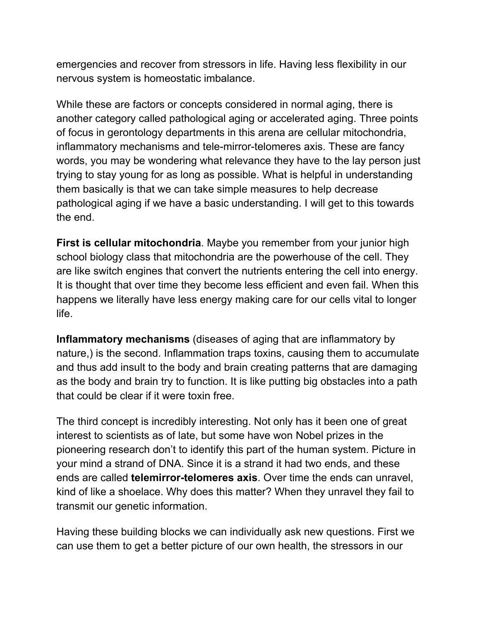emergencies and recover from stressors in life. Having less flexibility in our nervous system is homeostatic imbalance.

While these are factors or concepts considered in normal aging, there is another category called pathological aging or accelerated aging. Three points of focus in gerontology departments in this arena are cellular mitochondria, inflammatory mechanisms and tele-mirror-telomeres axis. These are fancy words, you may be wondering what relevance they have to the lay person just trying to stay young for as long as possible. What is helpful in understanding them basically is that we can take simple measures to help decrease pathological aging if we have a basic understanding. I will get to this towards the end.

**First is cellular mitochondria**. Maybe you remember from your junior high school biology class that mitochondria are the powerhouse of the cell. They are like switch engines that convert the nutrients entering the cell into energy. It is thought that over time they become less efficient and even fail. When this happens we literally have less energy making care for our cells vital to longer life.

**Inflammatory mechanisms** (diseases of aging that are inflammatory by nature,) is the second. Inflammation traps toxins, causing them to accumulate and thus add insult to the body and brain creating patterns that are damaging as the body and brain try to function. It is like putting big obstacles into a path that could be clear if it were toxin free.

The third concept is incredibly interesting. Not only has it been one of great interest to scientists as of late, but some have won Nobel prizes in the pioneering research don't to identify this part of the human system. Picture in your mind a strand of DNA. Since it is a strand it had two ends, and these ends are called **telemirror-telomeres axis**. Over time the ends can unravel, kind of like a shoelace. Why does this matter? When they unravel they fail to transmit our genetic information.

Having these building blocks we can individually ask new questions. First we can use them to get a better picture of our own health, the stressors in our